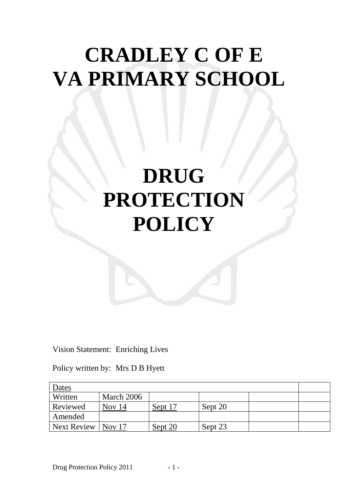# **CRADLEY C OF E VA PRIMARY SCHOOL**

# **DRUG PROTECTION POLICY**

Vision Statement: Enriching Lives

Policy written by: Mrs D B Hyett

| Dates              |            |         |         |  |  |
|--------------------|------------|---------|---------|--|--|
| Written            | March 2006 |         |         |  |  |
| Reviewed           | Nov 14     | Sept 17 | Sept 20 |  |  |
| Amended            |            |         |         |  |  |
| <b>Next Review</b> | Nov $17$   | Sept 20 | Sept 23 |  |  |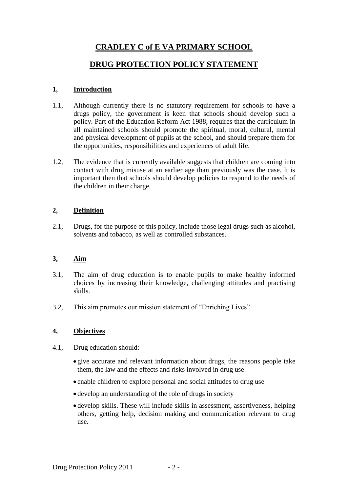### **CRADLEY C of E VA PRIMARY SCHOOL**

### **DRUG PROTECTION POLICY STATEMENT**

#### **1, Introduction**

- 1.1, Although currently there is no statutory requirement for schools to have a drugs policy, the government is keen that schools should develop such a policy. Part of the Education Reform Act 1988, requires that the curriculum in all maintained schools should promote the spiritual, moral, cultural, mental and physical development of pupils at the school, and should prepare them for the opportunities, responsibilities and experiences of adult life.
- 1.2, The evidence that is currently available suggests that children are coming into contact with drug misuse at an earlier age than previously was the case. It is important then that schools should develop policies to respond to the needs of the children in their charge.

#### **2, Definition**

2.1, Drugs, for the purpose of this policy, include those legal drugs such as alcohol, solvents and tobacco, as well as controlled substances.

#### **3, Aim**

- 3.1, The aim of drug education is to enable pupils to make healthy informed choices by increasing their knowledge, challenging attitudes and practising skills.
- 3.2, This aim promotes our mission statement of "Enriching Lives"

#### **4, Objectives**

- 4.1, Drug education should:
	- give accurate and relevant information about drugs, the reasons people take them, the law and the effects and risks involved in drug use
	- enable children to explore personal and social attitudes to drug use
	- develop an understanding of the role of drugs in society
	- develop skills. These will include skills in assessment, assertiveness, helping others, getting help, decision making and communication relevant to drug use.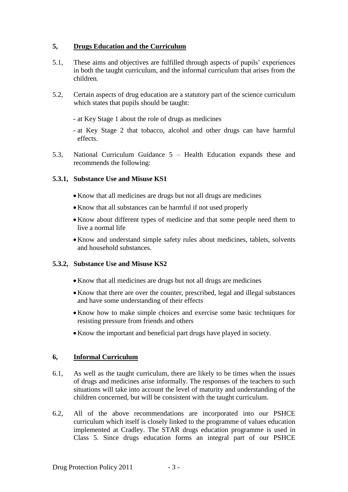#### **5, Drugs Education and the Curriculum**

- 5.1, These aims and objectives are fulfilled through aspects of pupils' experiences in both the taught curriculum, and the informal curriculum that arises from the children.
- 5.2, Certain aspects of drug education are a statutory part of the science curriculum which states that pupils should be taught:
	- at Key Stage 1 about the role of drugs as medicines
	- at Key Stage 2 that tobacco, alcohol and other drugs can have harmful effects.
- 5.3, National Curriculum Guidance 5 Health Education expands these and recommends the following:

#### **5.3.1, Substance Use and Misuse KS1**

- •Know that all medicines are drugs but not all drugs are medicines
- •Know that all substances can be harmful if not used properly
- •Know about different types of medicine and that some people need them to live a normal life
- •Know and understand simple safety rules about medicines, tablets, solvents and household substances.

#### **5.3.2, Substance Use and Misuse KS2**

- •Know that all medicines are drugs but not all drugs are medicines
- •Know that there are over the counter, prescribed, legal and illegal substances and have some understanding of their effects
- •Know how to make simple choices and exercise some basic techniques for resisting pressure from friends and others
- •Know the important and beneficial part drugs have played in society.

#### **6, Informal Curriculum**

- 6.1, As well as the taught curriculum, there are likely to be times when the issues of drugs and medicines arise informally. The responses of the teachers to such situations will take into account the level of maturity and understanding of the children concerned, but will be consistent with the taught curriculum.
- 6.2, All of the above recommendations are incorporated into our PSHCE curriculum which itself is closely linked to the programme of values education implemented at Cradley. The STAR drugs education programme is used in Class 5. Since drugs education forms an integral part of our PSHCE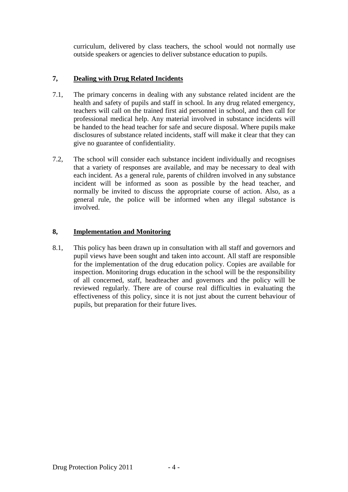curriculum, delivered by class teachers, the school would not normally use outside speakers or agencies to deliver substance education to pupils.

#### **7, Dealing with Drug Related Incidents**

- 7.1, The primary concerns in dealing with any substance related incident are the health and safety of pupils and staff in school. In any drug related emergency, teachers will call on the trained first aid personnel in school, and then call for professional medical help. Any material involved in substance incidents will be handed to the head teacher for safe and secure disposal. Where pupils make disclosures of substance related incidents, staff will make it clear that they can give no guarantee of confidentiality.
- 7.2, The school will consider each substance incident individually and recognises that a variety of responses are available, and may be necessary to deal with each incident. As a general rule, parents of children involved in any substance incident will be informed as soon as possible by the head teacher, and normally be invited to discuss the appropriate course of action. Also, as a general rule, the police will be informed when any illegal substance is involved.

#### **8, Implementation and Monitoring**

8.1, This policy has been drawn up in consultation with all staff and governors and pupil views have been sought and taken into account. All staff are responsible for the implementation of the drug education policy. Copies are available for inspection. Monitoring drugs education in the school will be the responsibility of all concerned, staff, headteacher and governors and the policy will be reviewed regularly. There are of course real difficulties in evaluating the effectiveness of this policy, since it is not just about the current behaviour of pupils, but preparation for their future lives.